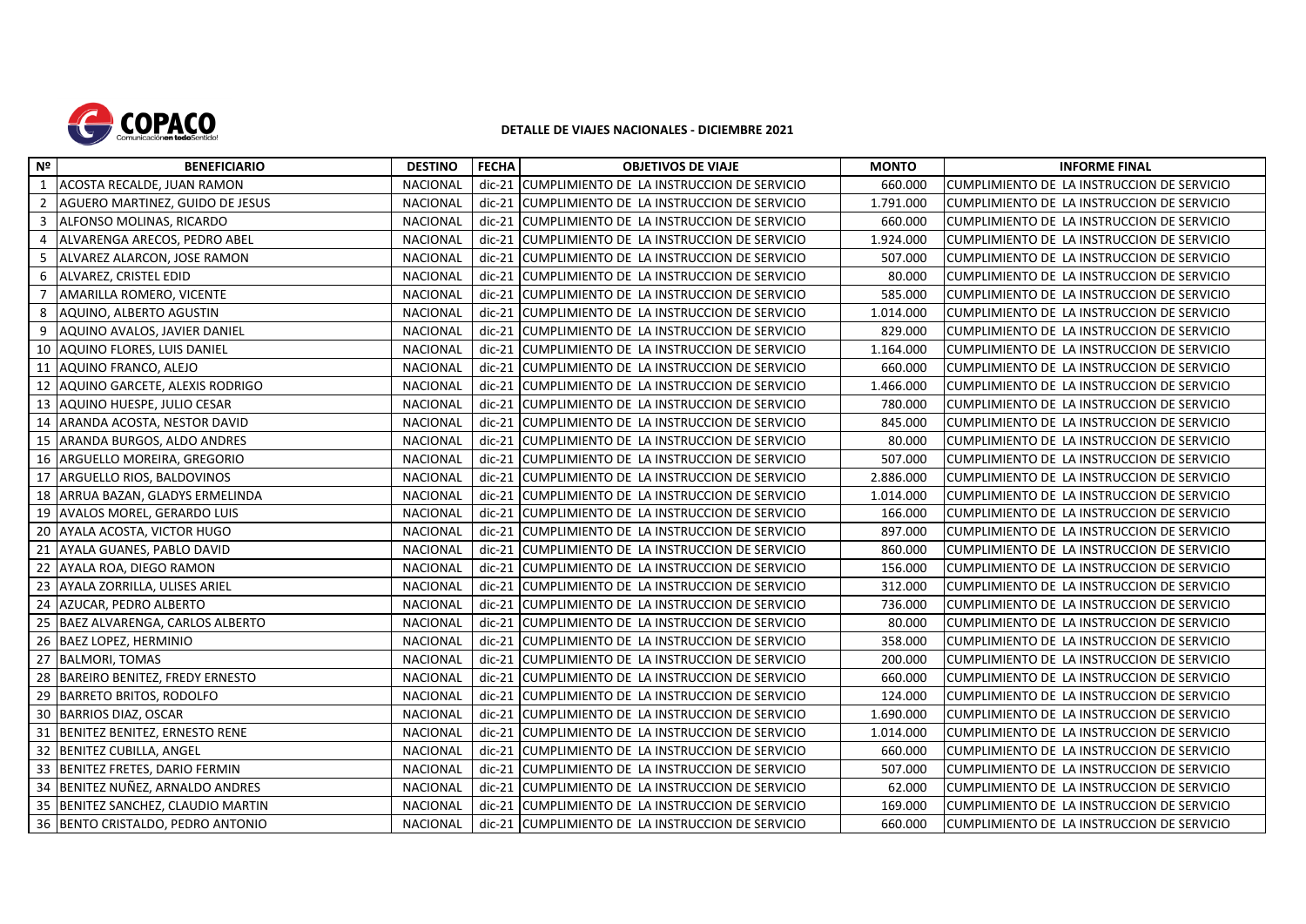

## **DETALLE DE VIAJES NACIONALES - DICIEMBRE 2021**

| Nº             | <b>BENEFICIARIO</b>                   | <b>DESTINO</b>  | <b>FECHA</b> | <b>OBJETIVOS DE VIAJE</b>                          | <b>MONTO</b> | <b>INFORME FINAL</b>                       |
|----------------|---------------------------------------|-----------------|--------------|----------------------------------------------------|--------------|--------------------------------------------|
| 1              | ACOSTA RECALDE, JUAN RAMON            | NACIONAL        |              | dic-21 CUMPLIMIENTO DE LA INSTRUCCION DE SERVICIO  | 660.000      | CUMPLIMIENTO DE LA INSTRUCCION DE SERVICIO |
| $\overline{2}$ | AGUERO MARTINEZ, GUIDO DE JESUS       | <b>NACIONAL</b> |              | dic-21 CUMPLIMIENTO DE LA INSTRUCCION DE SERVICIO  | 1.791.000    | CUMPLIMIENTO DE LA INSTRUCCION DE SERVICIO |
| $\overline{3}$ | ALFONSO MOLINAS, RICARDO              | <b>NACIONAL</b> |              | dic-21 CUMPLIMIENTO DE LA INSTRUCCION DE SERVICIO  | 660.000      | CUMPLIMIENTO DE LA INSTRUCCION DE SERVICIO |
| $\overline{4}$ | ALVARENGA ARECOS, PEDRO ABEL          | <b>NACIONAL</b> |              | dic-21 CUMPLIMIENTO DE LA INSTRUCCION DE SERVICIO  | 1.924.000    | CUMPLIMIENTO DE LA INSTRUCCION DE SERVICIO |
| 5              | ALVAREZ ALARCON, JOSE RAMON           | <b>NACIONAL</b> | $dic-21$     | CUMPLIMIENTO DE LA INSTRUCCION DE SERVICIO         | 507.000      | CUMPLIMIENTO DE LA INSTRUCCION DE SERVICIO |
| 6              | ALVAREZ, CRISTEL EDID                 | <b>NACIONAL</b> | dic-21       | CUMPLIMIENTO DE LA INSTRUCCION DE SERVICIO         | 80.000       | CUMPLIMIENTO DE LA INSTRUCCION DE SERVICIO |
| 7              | AMARILLA ROMERO, VICENTE              | <b>NACIONAL</b> |              | dic-21 CUMPLIMIENTO DE LA INSTRUCCION DE SERVICIO  | 585.000      | CUMPLIMIENTO DE LA INSTRUCCION DE SERVICIO |
| 8              | AQUINO, ALBERTO AGUSTIN               | NACIONAL        |              | dic-21 CUMPLIMIENTO DE LA INSTRUCCION DE SERVICIO  | 1.014.000    | CUMPLIMIENTO DE LA INSTRUCCION DE SERVICIO |
| 9              | AQUINO AVALOS, JAVIER DANIEL          | <b>NACIONAL</b> | $dic-21$     | CUMPLIMIENTO DE LA INSTRUCCION DE SERVICIO         | 829.000      | CUMPLIMIENTO DE LA INSTRUCCION DE SERVICIO |
| 10             | AQUINO FLORES, LUIS DANIEL            | <b>NACIONAL</b> |              | dic-21 CUMPLIMIENTO DE LA INSTRUCCION DE SERVICIO  | 1.164.000    | CUMPLIMIENTO DE LA INSTRUCCION DE SERVICIO |
| 11             | AQUINO FRANCO, ALEJO                  | <b>NACIONAL</b> |              | dic-21 CUMPLIMIENTO DE LA INSTRUCCION DE SERVICIO  | 660.000      | CUMPLIMIENTO DE LA INSTRUCCION DE SERVICIO |
| 12             | AQUINO GARCETE, ALEXIS RODRIGO        | <b>NACIONAL</b> |              | dic-21 ICUMPLIMIENTO DE LA INSTRUCCION DE SERVICIO | 1.466.000    | CUMPLIMIENTO DE LA INSTRUCCION DE SERVICIO |
| 13             | AQUINO HUESPE, JULIO CESAR            | <b>NACIONAL</b> |              | dic-21 CUMPLIMIENTO DE LA INSTRUCCION DE SERVICIO  | 780.000      | CUMPLIMIENTO DE LA INSTRUCCION DE SERVICIO |
| 14             | ARANDA ACOSTA, NESTOR DAVID           | <b>NACIONAL</b> |              | dic-21 CUMPLIMIENTO DE LA INSTRUCCION DE SERVICIO  | 845.000      | CUMPLIMIENTO DE LA INSTRUCCION DE SERVICIO |
| 15             | ARANDA BURGOS, ALDO ANDRES            | <b>NACIONAL</b> |              | dic-21 CUMPLIMIENTO DE LA INSTRUCCION DE SERVICIO  | 80.000       | CUMPLIMIENTO DE LA INSTRUCCION DE SERVICIO |
| 16             | ARGUELLO MOREIRA, GREGORIO            | NACIONAL        | $dic-21$     | CUMPLIMIENTO DE LA INSTRUCCION DE SERVICIO         | 507.000      | CUMPLIMIENTO DE LA INSTRUCCION DE SERVICIO |
| 17             | ARGUELLO RIOS, BALDOVINOS             | <b>NACIONAL</b> | $dic-21$     | CUMPLIMIENTO DE LA INSTRUCCION DE SERVICIO         | 2.886.000    | CUMPLIMIENTO DE LA INSTRUCCION DE SERVICIO |
| 18             | ARRUA BAZAN, GLADYS ERMELINDA         | <b>NACIONAL</b> |              | dic-21 CUMPLIMIENTO DE LA INSTRUCCION DE SERVICIO  | 1.014.000    | CUMPLIMIENTO DE LA INSTRUCCION DE SERVICIO |
| 19             | <b>AVALOS MOREL, GERARDO LUIS</b>     | <b>NACIONAL</b> | $dic-21$     | CUMPLIMIENTO DE LA INSTRUCCION DE SERVICIO         | 166.000      | CUMPLIMIENTO DE LA INSTRUCCION DE SERVICIO |
| 20             | AYALA ACOSTA, VICTOR HUGO             | NACIONAL        | $dic-21$     | CUMPLIMIENTO DE LA INSTRUCCION DE SERVICIO         | 897.000      | CUMPLIMIENTO DE LA INSTRUCCION DE SERVICIO |
| 21             | <b>AYALA GUANES, PABLO DAVID</b>      | NACIONAL        | $dic-21$     | CUMPLIMIENTO DE LA INSTRUCCION DE SERVICIO         | 860.000      | CUMPLIMIENTO DE LA INSTRUCCION DE SERVICIO |
| 22             | AYALA ROA, DIEGO RAMON                | <b>NACIONAL</b> | $dic-21$     | CUMPLIMIENTO DE LA INSTRUCCION DE SERVICIO         | 156.000      | CUMPLIMIENTO DE LA INSTRUCCION DE SERVICIO |
| 23             | AYALA ZORRILLA, ULISES ARIEL          | <b>NACIONAL</b> | dic-21       | CUMPLIMIENTO DE LA INSTRUCCION DE SERVICIO         | 312.000      | CUMPLIMIENTO DE LA INSTRUCCION DE SERVICIO |
| 24             | AZUCAR, PEDRO ALBERTO                 | <b>NACIONAL</b> |              | dic-21 CUMPLIMIENTO DE LA INSTRUCCION DE SERVICIO  | 736.000      | CUMPLIMIENTO DE LA INSTRUCCION DE SERVICIO |
| 25             | BAEZ ALVARENGA, CARLOS ALBERTO        | <b>NACIONAL</b> |              | dic-21 CUMPLIMIENTO DE LA INSTRUCCION DE SERVICIO  | 80.000       | CUMPLIMIENTO DE LA INSTRUCCION DE SERVICIO |
| 26             | <b>BAEZ LOPEZ, HERMINIO</b>           | <b>NACIONAL</b> | $dic-21$     | CUMPLIMIENTO DE LA INSTRUCCION DE SERVICIO         | 358.000      | CUMPLIMIENTO DE LA INSTRUCCION DE SERVICIO |
| 27             | <b>BALMORI, TOMAS</b>                 | <b>NACIONAL</b> | $dic-21$     | CUMPLIMIENTO DE LA INSTRUCCION DE SERVICIO         | 200.000      | CUMPLIMIENTO DE LA INSTRUCCION DE SERVICIO |
| 28             | <b>BAREIRO BENITEZ, FREDY ERNESTO</b> | <b>NACIONAL</b> | dic-21       | CUMPLIMIENTO DE LA INSTRUCCION DE SERVICIO         | 660.000      | CUMPLIMIENTO DE LA INSTRUCCION DE SERVICIO |
| 29             | <b>BARRETO BRITOS, RODOLFO</b>        | <b>NACIONAL</b> | $dic-21$     | CUMPLIMIENTO DE LA INSTRUCCION DE SERVICIO         | 124.000      | CUMPLIMIENTO DE LA INSTRUCCION DE SERVICIO |
| 30             | <b>BARRIOS DIAZ, OSCAR</b>            | <b>NACIONAL</b> | $dic-21$     | CUMPLIMIENTO DE LA INSTRUCCION DE SERVICIO         | 1.690.000    | CUMPLIMIENTO DE LA INSTRUCCION DE SERVICIO |
| 31             | BENITEZ BENITEZ, ERNESTO RENE         | <b>NACIONAL</b> | $dic-21$     | CUMPLIMIENTO DE LA INSTRUCCION DE SERVICIO         | 1.014.000    | CUMPLIMIENTO DE LA INSTRUCCION DE SERVICIO |
| 32             | <b>BENITEZ CUBILLA, ANGEL</b>         | <b>NACIONAL</b> | $dic-21$     | CUMPLIMIENTO DE LA INSTRUCCION DE SERVICIO         | 660.000      | CUMPLIMIENTO DE LA INSTRUCCION DE SERVICIO |
| 33             | BENITEZ FRETES, DARIO FERMIN          | NACIONAL        |              | dic-21 CUMPLIMIENTO DE LA INSTRUCCION DE SERVICIO  | 507.000      | CUMPLIMIENTO DE LA INSTRUCCION DE SERVICIO |
| 34             | BENITEZ NUÑEZ, ARNALDO ANDRES         | <b>NACIONAL</b> |              | dic-21 CUMPLIMIENTO DE LA INSTRUCCION DE SERVICIO  | 62.000       | CUMPLIMIENTO DE LA INSTRUCCION DE SERVICIO |
| 35             | BENITEZ SANCHEZ, CLAUDIO MARTIN       | <b>NACIONAL</b> |              | dic-21 CUMPLIMIENTO DE LA INSTRUCCION DE SERVICIO  | 169.000      | CUMPLIMIENTO DE LA INSTRUCCION DE SERVICIO |
| 36             | BENTO CRISTALDO, PEDRO ANTONIO        | <b>NACIONAL</b> |              | dic-21 CUMPLIMIENTO DE LA INSTRUCCION DE SERVICIO  | 660.000      | CUMPLIMIENTO DE LA INSTRUCCION DE SERVICIO |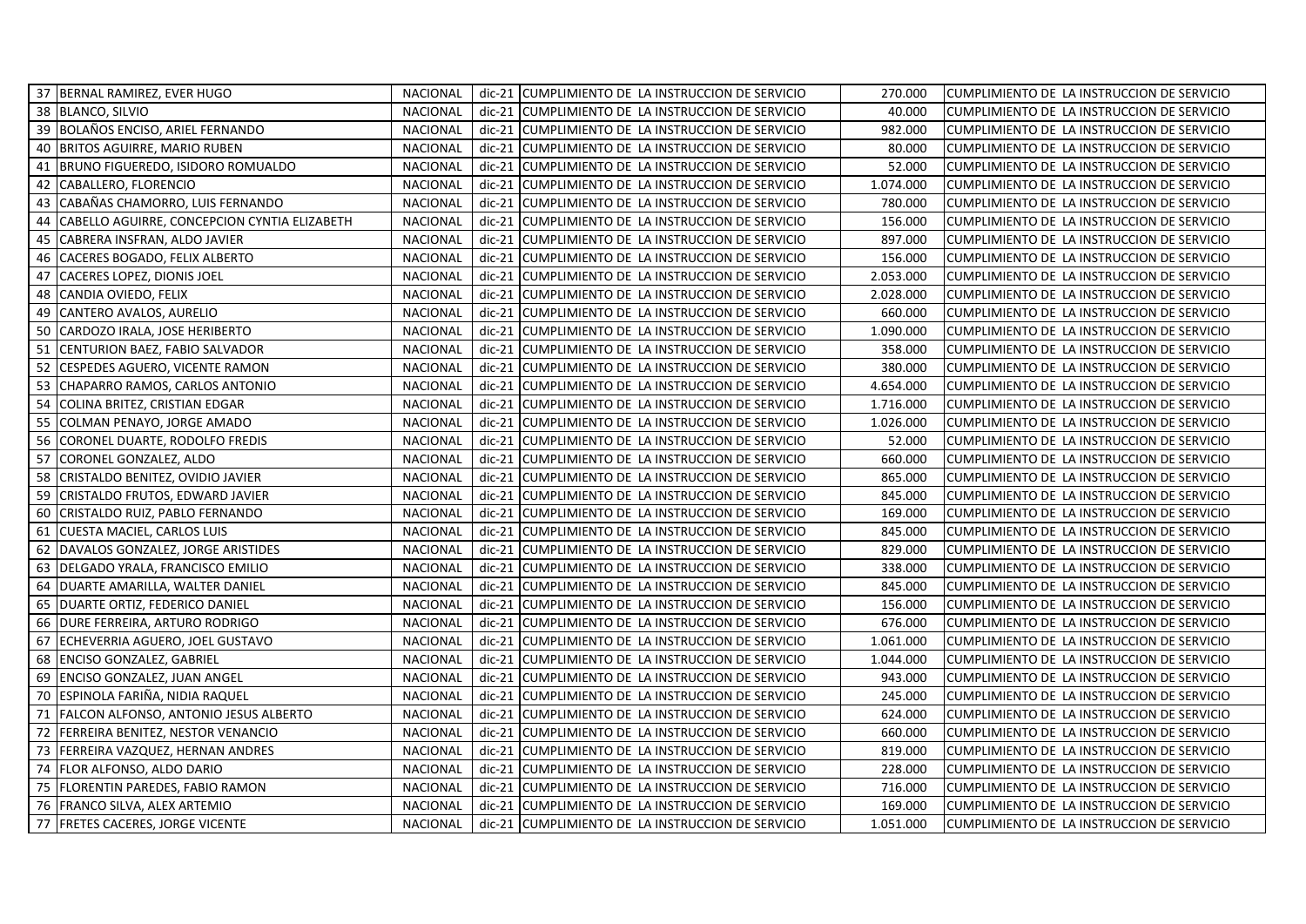|    | 37 BERNAL RAMIREZ, EVER HUGO                 | NACIONAL        |          | dic-21 CUMPLIMIENTO DE LA INSTRUCCION DE SERVICIO | 270.000   | CUMPLIMIENTO DE LA INSTRUCCION DE SERVICIO |
|----|----------------------------------------------|-----------------|----------|---------------------------------------------------|-----------|--------------------------------------------|
|    | 38 BLANCO, SILVIO                            | <b>NACIONAL</b> |          | dic-21 CUMPLIMIENTO DE LA INSTRUCCION DE SERVICIO | 40.000    | CUMPLIMIENTO DE LA INSTRUCCION DE SERVICIO |
| 39 | BOLAÑOS ENCISO, ARIEL FERNANDO               | NACIONAL        | dic-21   | CUMPLIMIENTO DE LA INSTRUCCION DE SERVICIO        | 982.000   | CUMPLIMIENTO DE LA INSTRUCCION DE SERVICIO |
| 40 | <b>BRITOS AGUIRRE, MARIO RUBEN</b>           | <b>NACIONAL</b> |          | dic-21 CUMPLIMIENTO DE LA INSTRUCCION DE SERVICIO | 80.000    | CUMPLIMIENTO DE LA INSTRUCCION DE SERVICIO |
| 41 | BRUNO FIGUEREDO, ISIDORO ROMUALDO            | <b>NACIONAL</b> | $dic-21$ | CUMPLIMIENTO DE LA INSTRUCCION DE SERVICIO        | 52.000    | CUMPLIMIENTO DE LA INSTRUCCION DE SERVICIO |
| 42 | CABALLERO, FLORENCIO                         | <b>NACIONAL</b> |          | dic-21 CUMPLIMIENTO DE LA INSTRUCCION DE SERVICIO | 1.074.000 | CUMPLIMIENTO DE LA INSTRUCCION DE SERVICIO |
| 43 | CABAÑAS CHAMORRO, LUIS FERNANDO              | NACIONAL        |          | dic-21 CUMPLIMIENTO DE LA INSTRUCCION DE SERVICIO | 780.000   | CUMPLIMIENTO DE LA INSTRUCCION DE SERVICIO |
| 44 | CABELLO AGUIRRE, CONCEPCION CYNTIA ELIZABETH | NACIONAL        | $dic-21$ | CUMPLIMIENTO DE LA INSTRUCCION DE SERVICIO        | 156.000   | CUMPLIMIENTO DE LA INSTRUCCION DE SERVICIO |
| 45 | CABRERA INSFRAN, ALDO JAVIER                 | <b>NACIONAL</b> | $dic-21$ | CUMPLIMIENTO DE LA INSTRUCCION DE SERVICIO        | 897.000   | CUMPLIMIENTO DE LA INSTRUCCION DE SERVICIO |
| 46 | CACERES BOGADO, FELIX ALBERTO                | <b>NACIONAL</b> | $dic-21$ | CUMPLIMIENTO DE LA INSTRUCCION DE SERVICIO        | 156.000   | CUMPLIMIENTO DE LA INSTRUCCION DE SERVICIO |
| 47 | <b>CACERES LOPEZ, DIONIS JOEL</b>            | <b>NACIONAL</b> |          | dic-21 CUMPLIMIENTO DE LA INSTRUCCION DE SERVICIO | 2.053.000 | CUMPLIMIENTO DE LA INSTRUCCION DE SERVICIO |
| 48 | CANDIA OVIEDO, FELIX                         | <b>NACIONAL</b> |          | dic-21 CUMPLIMIENTO DE LA INSTRUCCION DE SERVICIO | 2.028.000 | CUMPLIMIENTO DE LA INSTRUCCION DE SERVICIO |
| 49 | CANTERO AVALOS, AURELIO                      | NACIONAL        |          | dic-21 CUMPLIMIENTO DE LA INSTRUCCION DE SERVICIO | 660.000   | CUMPLIMIENTO DE LA INSTRUCCION DE SERVICIO |
| 50 | CARDOZO IRALA, JOSE HERIBERTO                | <b>NACIONAL</b> |          | dic-21 CUMPLIMIENTO DE LA INSTRUCCION DE SERVICIO | 1.090.000 | CUMPLIMIENTO DE LA INSTRUCCION DE SERVICIO |
| 51 | CENTURION BAEZ, FABIO SALVADOR               | <b>NACIONAL</b> | $dic-21$ | CUMPLIMIENTO DE LA INSTRUCCION DE SERVICIO        | 358.000   | CUMPLIMIENTO DE LA INSTRUCCION DE SERVICIO |
| 52 | CESPEDES AGUERO, VICENTE RAMON               | <b>NACIONAL</b> | $dic-21$ | CUMPLIMIENTO DE LA INSTRUCCION DE SERVICIO        | 380.000   | CUMPLIMIENTO DE LA INSTRUCCION DE SERVICIO |
| 53 | CHAPARRO RAMOS, CARLOS ANTONIO               | <b>NACIONAL</b> |          | dic-21 CUMPLIMIENTO DE LA INSTRUCCION DE SERVICIO | 4.654.000 | CUMPLIMIENTO DE LA INSTRUCCION DE SERVICIO |
| 54 | COLINA BRITEZ, CRISTIAN EDGAR                | <b>NACIONAL</b> | $dic-21$ | CUMPLIMIENTO DE LA INSTRUCCION DE SERVICIO        | 1.716.000 | CUMPLIMIENTO DE LA INSTRUCCION DE SERVICIO |
| 55 | COLMAN PENAYO, JORGE AMADO                   | <b>NACIONAL</b> | $dic-21$ | CUMPLIMIENTO DE LA INSTRUCCION DE SERVICIO        | 1.026.000 | CUMPLIMIENTO DE LA INSTRUCCION DE SERVICIO |
| 56 | CORONEL DUARTE, RODOLFO FREDIS               | <b>NACIONAL</b> | $dic-21$ | CUMPLIMIENTO DE LA INSTRUCCION DE SERVICIO        | 52.000    | CUMPLIMIENTO DE LA INSTRUCCION DE SERVICIO |
| 57 | CORONEL GONZALEZ, ALDO                       | <b>NACIONAL</b> | $dic-21$ | CUMPLIMIENTO DE LA INSTRUCCION DE SERVICIO        | 660.000   | CUMPLIMIENTO DE LA INSTRUCCION DE SERVICIO |
| 58 | CRISTALDO BENITEZ, OVIDIO JAVIER             | <b>NACIONAL</b> |          | dic-21 CUMPLIMIENTO DE LA INSTRUCCION DE SERVICIO | 865.000   | CUMPLIMIENTO DE LA INSTRUCCION DE SERVICIO |
| 59 | CRISTALDO FRUTOS, EDWARD JAVIER              | <b>NACIONAL</b> |          | dic-21 CUMPLIMIENTO DE LA INSTRUCCION DE SERVICIO | 845.000   | CUMPLIMIENTO DE LA INSTRUCCION DE SERVICIO |
| 60 | CRISTALDO RUIZ, PABLO FERNANDO               | <b>NACIONAL</b> |          | dic-21 CUMPLIMIENTO DE LA INSTRUCCION DE SERVICIO | 169.000   | CUMPLIMIENTO DE LA INSTRUCCION DE SERVICIO |
| 61 | CUESTA MACIEL, CARLOS LUIS                   | <b>NACIONAL</b> |          | dic-21 CUMPLIMIENTO DE LA INSTRUCCION DE SERVICIO | 845.000   | CUMPLIMIENTO DE LA INSTRUCCION DE SERVICIO |
| 62 | DAVALOS GONZALEZ, JORGE ARISTIDES            | <b>NACIONAL</b> | $dic-21$ | CUMPLIMIENTO DE LA INSTRUCCION DE SERVICIO        | 829.000   | CUMPLIMIENTO DE LA INSTRUCCION DE SERVICIO |
| 63 | DELGADO YRALA, FRANCISCO EMILIO              | <b>NACIONAL</b> |          | dic-21 CUMPLIMIENTO DE LA INSTRUCCION DE SERVICIO | 338.000   | CUMPLIMIENTO DE LA INSTRUCCION DE SERVICIO |
| 64 | DUARTE AMARILLA, WALTER DANIEL               | <b>NACIONAL</b> |          | dic-21 CUMPLIMIENTO DE LA INSTRUCCION DE SERVICIO | 845.000   | CUMPLIMIENTO DE LA INSTRUCCION DE SERVICIO |
| 65 | DUARTE ORTIZ, FEDERICO DANIEL                | NACIONAL        | dic-21   | CUMPLIMIENTO DE LA INSTRUCCION DE SERVICIO        | 156.000   | CUMPLIMIENTO DE LA INSTRUCCION DE SERVICIO |
| 66 | <b>DURE FERREIRA, ARTURO RODRIGO</b>         | <b>NACIONAL</b> |          | dic-21 CUMPLIMIENTO DE LA INSTRUCCION DE SERVICIO | 676.000   | CUMPLIMIENTO DE LA INSTRUCCION DE SERVICIO |
| 67 | ECHEVERRIA AGUERO, JOEL GUSTAVO              | <b>NACIONAL</b> | $dic-21$ | CUMPLIMIENTO DE LA INSTRUCCION DE SERVICIO        | 1.061.000 | CUMPLIMIENTO DE LA INSTRUCCION DE SERVICIO |
| 68 | <b>ENCISO GONZALEZ, GABRIEL</b>              | <b>NACIONAL</b> | $dic-21$ | CUMPLIMIENTO DE LA INSTRUCCION DE SERVICIO        | 1.044.000 | CUMPLIMIENTO DE LA INSTRUCCION DE SERVICIO |
| 69 | ENCISO GONZALEZ, JUAN ANGEL                  | <b>NACIONAL</b> | $dic-21$ | CUMPLIMIENTO DE LA INSTRUCCION DE SERVICIO        | 943.000   | CUMPLIMIENTO DE LA INSTRUCCION DE SERVICIO |
| 70 | ESPINOLA FARIÑA, NIDIA RAQUEL                | NACIONAL        |          | dic-21 CUMPLIMIENTO DE LA INSTRUCCION DE SERVICIO | 245.000   | CUMPLIMIENTO DE LA INSTRUCCION DE SERVICIO |
| 71 | FALCON ALFONSO, ANTONIO JESUS ALBERTO        | <b>NACIONAL</b> |          | dic-21 CUMPLIMIENTO DE LA INSTRUCCION DE SERVICIO | 624.000   | CUMPLIMIENTO DE LA INSTRUCCION DE SERVICIO |
| 72 | <b>FERREIRA BENITEZ, NESTOR VENANCIO</b>     | <b>NACIONAL</b> |          | dic-21 CUMPLIMIENTO DE LA INSTRUCCION DE SERVICIO | 660.000   | CUMPLIMIENTO DE LA INSTRUCCION DE SERVICIO |
| 73 | FERREIRA VAZQUEZ, HERNAN ANDRES              | <b>NACIONAL</b> | dic-21   | CUMPLIMIENTO DE LA INSTRUCCION DE SERVICIO        | 819.000   | CUMPLIMIENTO DE LA INSTRUCCION DE SERVICIO |
| 74 | FLOR ALFONSO, ALDO DARIO                     | <b>NACIONAL</b> | $dic-21$ | CUMPLIMIENTO DE LA INSTRUCCION DE SERVICIO        | 228.000   | CUMPLIMIENTO DE LA INSTRUCCION DE SERVICIO |
| 75 | <b>FLORENTIN PAREDES, FABIO RAMON</b>        | NACIONAL        | $dic-21$ | CUMPLIMIENTO DE LA INSTRUCCION DE SERVICIO        | 716.000   | CUMPLIMIENTO DE LA INSTRUCCION DE SERVICIO |
| 76 | <b>FRANCO SILVA, ALEX ARTEMIO</b>            | <b>NACIONAL</b> |          | dic-21 CUMPLIMIENTO DE LA INSTRUCCION DE SERVICIO | 169.000   | CUMPLIMIENTO DE LA INSTRUCCION DE SERVICIO |
|    | 77   FRETES CACERES, JORGE VICENTE           | <b>NACIONAL</b> |          | dic-21 CUMPLIMIENTO DE LA INSTRUCCION DE SERVICIO | 1.051.000 | CUMPLIMIENTO DE LA INSTRUCCION DE SERVICIO |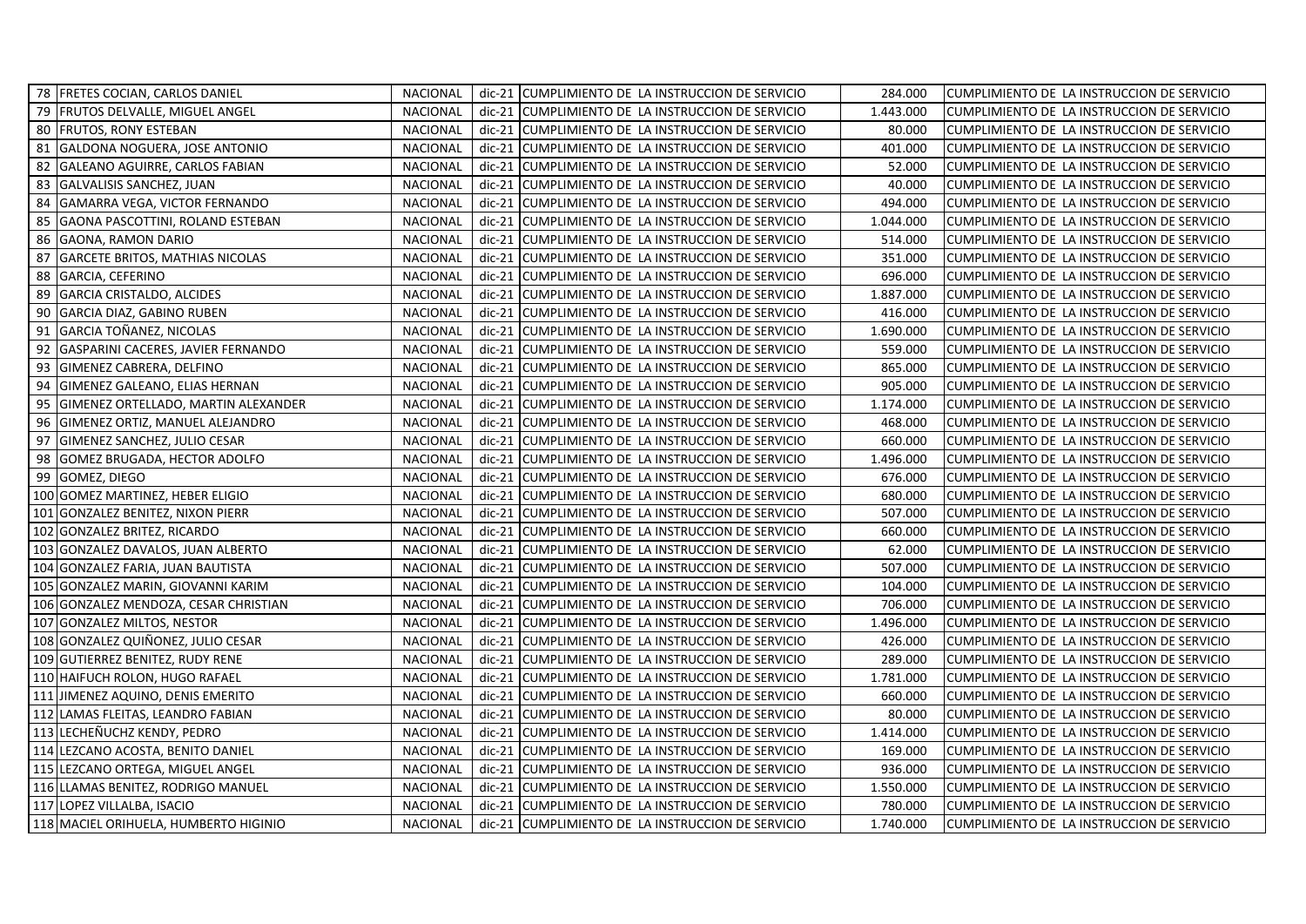|    | 78   FRETES COCIAN, CARLOS DANIEL     | NACIONAL        |          | dic-21 CUMPLIMIENTO DE LA INSTRUCCION DE SERVICIO | 284.000   | CUMPLIMIENTO DE LA INSTRUCCION DE SERVICIO |
|----|---------------------------------------|-----------------|----------|---------------------------------------------------|-----------|--------------------------------------------|
| 79 | <b>FRUTOS DELVALLE, MIGUEL ANGEL</b>  | <b>NACIONAL</b> |          | dic-21 CUMPLIMIENTO DE LA INSTRUCCION DE SERVICIO | 1.443.000 | CUMPLIMIENTO DE LA INSTRUCCION DE SERVICIO |
| 80 | <b>FRUTOS, RONY ESTEBAN</b>           | <b>NACIONAL</b> | $dic-21$ | CUMPLIMIENTO DE LA INSTRUCCION DE SERVICIO        | 80.000    | CUMPLIMIENTO DE LA INSTRUCCION DE SERVICIO |
| 81 | GALDONA NOGUERA, JOSE ANTONIO         | <b>NACIONAL</b> |          | dic-21 CUMPLIMIENTO DE LA INSTRUCCION DE SERVICIO | 401.000   | CUMPLIMIENTO DE LA INSTRUCCION DE SERVICIO |
| 82 | GALEANO AGUIRRE, CARLOS FABIAN        | NACIONAL        |          | dic-21 CUMPLIMIENTO DE LA INSTRUCCION DE SERVICIO | 52.000    | CUMPLIMIENTO DE LA INSTRUCCION DE SERVICIO |
| 83 | GALVALISIS SANCHEZ, JUAN              | <b>NACIONAL</b> |          | dic-21 CUMPLIMIENTO DE LA INSTRUCCION DE SERVICIO | 40.000    | CUMPLIMIENTO DE LA INSTRUCCION DE SERVICIO |
| 84 | GAMARRA VEGA, VICTOR FERNANDO         | <b>NACIONAL</b> |          | dic-21 CUMPLIMIENTO DE LA INSTRUCCION DE SERVICIO | 494.000   | CUMPLIMIENTO DE LA INSTRUCCION DE SERVICIO |
| 85 | GAONA PASCOTTINI, ROLAND ESTEBAN      | <b>NACIONAL</b> | $dic-21$ | CUMPLIMIENTO DE LA INSTRUCCION DE SERVICIO        | 1.044.000 | CUMPLIMIENTO DE LA INSTRUCCION DE SERVICIO |
| 86 | GAONA, RAMON DARIO                    | <b>NACIONAL</b> | $dic-21$ | CUMPLIMIENTO DE LA INSTRUCCION DE SERVICIO        | 514.000   | CUMPLIMIENTO DE LA INSTRUCCION DE SERVICIO |
| 87 | GARCETE BRITOS, MATHIAS NICOLAS       | <b>NACIONAL</b> |          | dic-21 CUMPLIMIENTO DE LA INSTRUCCION DE SERVICIO | 351.000   | CUMPLIMIENTO DE LA INSTRUCCION DE SERVICIO |
| 88 | GARCIA, CEFERINO                      | NACIONAL        |          | dic-21 CUMPLIMIENTO DE LA INSTRUCCION DE SERVICIO | 696.000   | CUMPLIMIENTO DE LA INSTRUCCION DE SERVICIO |
| 89 | GARCIA CRISTALDO, ALCIDES             | <b>NACIONAL</b> |          | dic-21 CUMPLIMIENTO DE LA INSTRUCCION DE SERVICIO | 1.887.000 | CUMPLIMIENTO DE LA INSTRUCCION DE SERVICIO |
| 90 | <b>GARCIA DIAZ, GABINO RUBEN</b>      | <b>NACIONAL</b> |          | dic-21 CUMPLIMIENTO DE LA INSTRUCCION DE SERVICIO | 416.000   | CUMPLIMIENTO DE LA INSTRUCCION DE SERVICIO |
| 91 | GARCIA TOÑANEZ, NICOLAS               | <b>NACIONAL</b> |          | dic-21 CUMPLIMIENTO DE LA INSTRUCCION DE SERVICIO | 1.690.000 | CUMPLIMIENTO DE LA INSTRUCCION DE SERVICIO |
| 92 | GASPARINI CACERES, JAVIER FERNANDO    | <b>NACIONAL</b> | $dic-21$ | CUMPLIMIENTO DE LA INSTRUCCION DE SERVICIO        | 559.000   | CUMPLIMIENTO DE LA INSTRUCCION DE SERVICIO |
| 93 | GIMENEZ CABRERA, DELFINO              | <b>NACIONAL</b> | $dic-21$ | CUMPLIMIENTO DE LA INSTRUCCION DE SERVICIO        | 865.000   | CUMPLIMIENTO DE LA INSTRUCCION DE SERVICIO |
| 94 | GIMENEZ GALEANO, ELIAS HERNAN         | <b>NACIONAL</b> |          | dic-21 CUMPLIMIENTO DE LA INSTRUCCION DE SERVICIO | 905.000   | CUMPLIMIENTO DE LA INSTRUCCION DE SERVICIO |
| 95 | GIMENEZ ORTELLADO, MARTIN ALEXANDER   | <b>NACIONAL</b> |          | dic-21 CUMPLIMIENTO DE LA INSTRUCCION DE SERVICIO | 1.174.000 | CUMPLIMIENTO DE LA INSTRUCCION DE SERVICIO |
| 96 | GIMENEZ ORTIZ, MANUEL ALEJANDRO       | <b>NACIONAL</b> |          | dic-21 CUMPLIMIENTO DE LA INSTRUCCION DE SERVICIO | 468.000   | CUMPLIMIENTO DE LA INSTRUCCION DE SERVICIO |
| 97 | GIMENEZ SANCHEZ, JULIO CESAR          | <b>NACIONAL</b> | dic-21   | CUMPLIMIENTO DE LA INSTRUCCION DE SERVICIO        | 660.000   | CUMPLIMIENTO DE LA INSTRUCCION DE SERVICIO |
| 98 | GOMEZ BRUGADA, HECTOR ADOLFO          | <b>NACIONAL</b> | $dic-21$ | CUMPLIMIENTO DE LA INSTRUCCION DE SERVICIO        | 1.496.000 | CUMPLIMIENTO DE LA INSTRUCCION DE SERVICIO |
| 99 | GOMEZ, DIEGO                          | <b>NACIONAL</b> |          | dic-21 CUMPLIMIENTO DE LA INSTRUCCION DE SERVICIO | 676.000   | CUMPLIMIENTO DE LA INSTRUCCION DE SERVICIO |
|    | 100 GOMEZ MARTINEZ, HEBER ELIGIO      | <b>NACIONAL</b> |          | dic-21 CUMPLIMIENTO DE LA INSTRUCCION DE SERVICIO | 680.000   | CUMPLIMIENTO DE LA INSTRUCCION DE SERVICIO |
|    | 101 GONZALEZ BENITEZ, NIXON PIERR     | <b>NACIONAL</b> |          | dic-21 CUMPLIMIENTO DE LA INSTRUCCION DE SERVICIO | 507.000   | CUMPLIMIENTO DE LA INSTRUCCION DE SERVICIO |
|    | 102 GONZALEZ BRITEZ, RICARDO          | <b>NACIONAL</b> |          | dic-21 CUMPLIMIENTO DE LA INSTRUCCION DE SERVICIO | 660.000   | CUMPLIMIENTO DE LA INSTRUCCION DE SERVICIO |
|    | 103 GONZALEZ DAVALOS, JUAN ALBERTO    | <b>NACIONAL</b> | $dic-21$ | CUMPLIMIENTO DE LA INSTRUCCION DE SERVICIO        | 62.000    | CUMPLIMIENTO DE LA INSTRUCCION DE SERVICIO |
|    | 104 GONZALEZ FARIA, JUAN BAUTISTA     | <b>NACIONAL</b> | dic-21   | CUMPLIMIENTO DE LA INSTRUCCION DE SERVICIO        | 507.000   | CUMPLIMIENTO DE LA INSTRUCCION DE SERVICIO |
|    | 105 GONZALEZ MARIN, GIOVANNI KARIM    | <b>NACIONAL</b> |          | dic-21 CUMPLIMIENTO DE LA INSTRUCCION DE SERVICIO | 104.000   | CUMPLIMIENTO DE LA INSTRUCCION DE SERVICIO |
|    | 106 GONZALEZ MENDOZA, CESAR CHRISTIAN | <b>NACIONAL</b> | $dic-21$ | CUMPLIMIENTO DE LA INSTRUCCION DE SERVICIO        | 706.000   | CUMPLIMIENTO DE LA INSTRUCCION DE SERVICIO |
|    | 107 GONZALEZ MILTOS, NESTOR           | <b>NACIONAL</b> |          | dic-21 CUMPLIMIENTO DE LA INSTRUCCION DE SERVICIO | 1.496.000 | CUMPLIMIENTO DE LA INSTRUCCION DE SERVICIO |
|    | 108 GONZALEZ QUIÑONEZ, JULIO CESAR    | <b>NACIONAL</b> | $dic-21$ | CUMPLIMIENTO DE LA INSTRUCCION DE SERVICIO        | 426.000   | CUMPLIMIENTO DE LA INSTRUCCION DE SERVICIO |
|    | 109 GUTIERREZ BENITEZ, RUDY RENE      | <b>NACIONAL</b> | dic-21   | CUMPLIMIENTO DE LA INSTRUCCION DE SERVICIO        | 289.000   | CUMPLIMIENTO DE LA INSTRUCCION DE SERVICIO |
|    | 110 HAIFUCH ROLON, HUGO RAFAEL        | NACIONAL        |          | dic-21 CUMPLIMIENTO DE LA INSTRUCCION DE SERVICIO | 1.781.000 | CUMPLIMIENTO DE LA INSTRUCCION DE SERVICIO |
|    | 111 JIMENEZ AQUINO, DENIS EMERITO     | <b>NACIONAL</b> |          | dic-21 CUMPLIMIENTO DE LA INSTRUCCION DE SERVICIO | 660.000   | CUMPLIMIENTO DE LA INSTRUCCION DE SERVICIO |
|    | 112 LAMAS FLEITAS, LEANDRO FABIAN     | <b>NACIONAL</b> |          | dic-21 CUMPLIMIENTO DE LA INSTRUCCION DE SERVICIO | 80.000    | CUMPLIMIENTO DE LA INSTRUCCION DE SERVICIO |
|    | 113 LECHEÑUCHZ KENDY, PEDRO           | <b>NACIONAL</b> |          | dic-21 CUMPLIMIENTO DE LA INSTRUCCION DE SERVICIO | 1.414.000 | CUMPLIMIENTO DE LA INSTRUCCION DE SERVICIO |
|    | 114 LEZCANO ACOSTA, BENITO DANIEL     | <b>NACIONAL</b> | $dic-21$ | CUMPLIMIENTO DE LA INSTRUCCION DE SERVICIO        | 169.000   | CUMPLIMIENTO DE LA INSTRUCCION DE SERVICIO |
|    | 115 LEZCANO ORTEGA, MIGUEL ANGEL      | <b>NACIONAL</b> | $dic-21$ | CUMPLIMIENTO DE LA INSTRUCCION DE SERVICIO        | 936.000   | CUMPLIMIENTO DE LA INSTRUCCION DE SERVICIO |
|    | 116 LLAMAS BENITEZ, RODRIGO MANUEL    | <b>NACIONAL</b> | dic-21   | CUMPLIMIENTO DE LA INSTRUCCION DE SERVICIO        | 1.550.000 | CUMPLIMIENTO DE LA INSTRUCCION DE SERVICIO |
|    | 117 LOPEZ VILLALBA, ISACIO            | NACIONAL        |          | dic-21 CUMPLIMIENTO DE LA INSTRUCCION DE SERVICIO | 780.000   | CUMPLIMIENTO DE LA INSTRUCCION DE SERVICIO |
|    | 118 MACIEL ORIHUELA, HUMBERTO HIGINIO | <b>NACIONAL</b> |          | dic-21 CUMPLIMIENTO DE LA INSTRUCCION DE SERVICIO | 1.740.000 | CUMPLIMIENTO DE LA INSTRUCCION DE SERVICIO |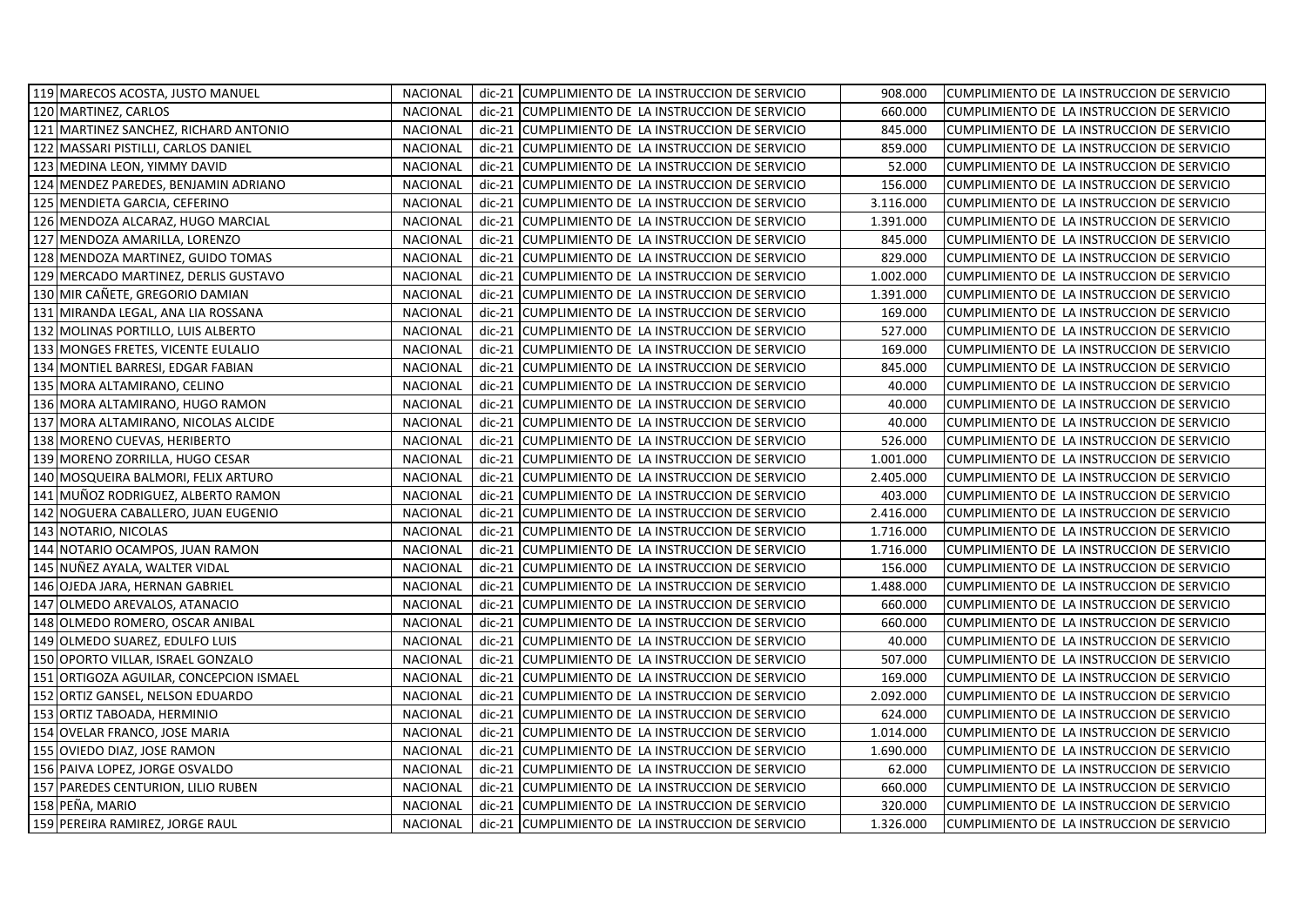| 119 MARECOS ACOSTA, JUSTO MANUEL        | <b>NACIONAL</b> |          | dic-21 CUMPLIMIENTO DE LA INSTRUCCION DE SERVICIO | 908.000   | CUMPLIMIENTO DE LA INSTRUCCION DE SERVICIO |
|-----------------------------------------|-----------------|----------|---------------------------------------------------|-----------|--------------------------------------------|
| 120 MARTINEZ, CARLOS                    | <b>NACIONAL</b> |          | dic-21 CUMPLIMIENTO DE LA INSTRUCCION DE SERVICIO | 660.000   | CUMPLIMIENTO DE LA INSTRUCCION DE SERVICIO |
| 121 MARTINEZ SANCHEZ, RICHARD ANTONIO   | NACIONAL        |          | dic-21 CUMPLIMIENTO DE LA INSTRUCCION DE SERVICIO | 845.000   | CUMPLIMIENTO DE LA INSTRUCCION DE SERVICIO |
| 122 MASSARI PISTILLI, CARLOS DANIEL     | <b>NACIONAL</b> | dic-21   | CUMPLIMIENTO DE LA INSTRUCCION DE SERVICIO        | 859.000   | CUMPLIMIENTO DE LA INSTRUCCION DE SERVICIO |
| 123 MEDINA LEON, YIMMY DAVID            | <b>NACIONAL</b> | $dic-21$ | CUMPLIMIENTO DE LA INSTRUCCION DE SERVICIO        | 52.000    | CUMPLIMIENTO DE LA INSTRUCCION DE SERVICIO |
| 124 MENDEZ PAREDES, BENJAMIN ADRIANO    | <b>NACIONAL</b> |          | dic-21 CUMPLIMIENTO DE LA INSTRUCCION DE SERVICIO | 156.000   | CUMPLIMIENTO DE LA INSTRUCCION DE SERVICIO |
| 125 MENDIETA GARCIA, CEFERINO           | <b>NACIONAL</b> |          | dic-21 CUMPLIMIENTO DE LA INSTRUCCION DE SERVICIO | 3.116.000 | CUMPLIMIENTO DE LA INSTRUCCION DE SERVICIO |
| 126 MENDOZA ALCARAZ, HUGO MARCIAL       | <b>NACIONAL</b> | dic-21   | CUMPLIMIENTO DE LA INSTRUCCION DE SERVICIO        | 1.391.000 | CUMPLIMIENTO DE LA INSTRUCCION DE SERVICIO |
| 127 MENDOZA AMARILLA, LORENZO           | <b>NACIONAL</b> | dic-21   | CUMPLIMIENTO DE LA INSTRUCCION DE SERVICIO        | 845.000   | CUMPLIMIENTO DE LA INSTRUCCION DE SERVICIO |
| 128 MENDOZA MARTINEZ, GUIDO TOMAS       | <b>NACIONAL</b> |          | dic-21 CUMPLIMIENTO DE LA INSTRUCCION DE SERVICIO | 829.000   | CUMPLIMIENTO DE LA INSTRUCCION DE SERVICIO |
| 129 MERCADO MARTINEZ, DERLIS GUSTAVO    | <b>NACIONAL</b> |          | dic-21 CUMPLIMIENTO DE LA INSTRUCCION DE SERVICIO | 1.002.000 | CUMPLIMIENTO DE LA INSTRUCCION DE SERVICIO |
| 130 MIR CANETE, GREGORIO DAMIAN         | <b>NACIONAL</b> |          | dic-21 CUMPLIMIENTO DE LA INSTRUCCION DE SERVICIO | 1.391.000 | CUMPLIMIENTO DE LA INSTRUCCION DE SERVICIO |
| 131 MIRANDA LEGAL, ANA LIA ROSSANA      | <b>NACIONAL</b> |          | dic-21 CUMPLIMIENTO DE LA INSTRUCCION DE SERVICIO | 169.000   | CUMPLIMIENTO DE LA INSTRUCCION DE SERVICIO |
| 132 MOLINAS PORTILLO, LUIS ALBERTO      | <b>NACIONAL</b> | dic-21   | CUMPLIMIENTO DE LA INSTRUCCION DE SERVICIO        | 527.000   | CUMPLIMIENTO DE LA INSTRUCCION DE SERVICIO |
| 133 MONGES FRETES, VICENTE EULALIO      | <b>NACIONAL</b> | dic-21   | CUMPLIMIENTO DE LA INSTRUCCION DE SERVICIO        | 169.000   | CUMPLIMIENTO DE LA INSTRUCCION DE SERVICIO |
| 134 MONTIEL BARRESI, EDGAR FABIAN       | <b>NACIONAL</b> | $dic-21$ | CUMPLIMIENTO DE LA INSTRUCCION DE SERVICIO        | 845.000   | CUMPLIMIENTO DE LA INSTRUCCION DE SERVICIO |
| 135 MORA ALTAMIRANO, CELINO             | <b>NACIONAL</b> |          | dic-21 CUMPLIMIENTO DE LA INSTRUCCION DE SERVICIO | 40.000    | CUMPLIMIENTO DE LA INSTRUCCION DE SERVICIO |
| 136 MORA ALTAMIRANO, HUGO RAMON         | <b>NACIONAL</b> |          | dic-21 CUMPLIMIENTO DE LA INSTRUCCION DE SERVICIO | 40.000    | CUMPLIMIENTO DE LA INSTRUCCION DE SERVICIO |
| 137 MORA ALTAMIRANO, NICOLAS ALCIDE     | <b>NACIONAL</b> |          | dic-21 CUMPLIMIENTO DE LA INSTRUCCION DE SERVICIO | 40.000    | CUMPLIMIENTO DE LA INSTRUCCION DE SERVICIO |
| 138 MORENO CUEVAS, HERIBERTO            | <b>NACIONAL</b> |          | dic-21 CUMPLIMIENTO DE LA INSTRUCCION DE SERVICIO | 526.000   | CUMPLIMIENTO DE LA INSTRUCCION DE SERVICIO |
| 139 MORENO ZORRILLA, HUGO CESAR         | <b>NACIONAL</b> |          | dic-21 CUMPLIMIENTO DE LA INSTRUCCION DE SERVICIO | 1.001.000 | CUMPLIMIENTO DE LA INSTRUCCION DE SERVICIO |
| 140 MOSQUEIRA BALMORI, FELIX ARTURO     | <b>NACIONAL</b> |          | dic-21 CUMPLIMIENTO DE LA INSTRUCCION DE SERVICIO | 2.405.000 | CUMPLIMIENTO DE LA INSTRUCCION DE SERVICIO |
| 141 MUÑOZ RODRIGUEZ, ALBERTO RAMON      | <b>NACIONAL</b> |          | dic-21 CUMPLIMIENTO DE LA INSTRUCCION DE SERVICIO | 403.000   | CUMPLIMIENTO DE LA INSTRUCCION DE SERVICIO |
| 142 NOGUERA CABALLERO, JUAN EUGENIO     | NACIONAL        |          | dic-21 CUMPLIMIENTO DE LA INSTRUCCION DE SERVICIO | 2.416.000 | CUMPLIMIENTO DE LA INSTRUCCION DE SERVICIO |
| 143 NOTARIO, NICOLAS                    | <b>NACIONAL</b> |          | dic-21 CUMPLIMIENTO DE LA INSTRUCCION DE SERVICIO | 1.716.000 | CUMPLIMIENTO DE LA INSTRUCCION DE SERVICIO |
| 144 NOTARIO OCAMPOS, JUAN RAMON         | <b>NACIONAL</b> | $dic-21$ | CUMPLIMIENTO DE LA INSTRUCCION DE SERVICIO        | 1.716.000 | CUMPLIMIENTO DE LA INSTRUCCION DE SERVICIO |
| 145 NUÑEZ AYALA, WALTER VIDAL           | <b>NACIONAL</b> | $dic-21$ | CUMPLIMIENTO DE LA INSTRUCCION DE SERVICIO        | 156.000   | CUMPLIMIENTO DE LA INSTRUCCION DE SERVICIO |
| 146 OJEDA JARA, HERNAN GABRIEL          | <b>NACIONAL</b> |          | dic-21 CUMPLIMIENTO DE LA INSTRUCCION DE SERVICIO | 1.488.000 | CUMPLIMIENTO DE LA INSTRUCCION DE SERVICIO |
| 147 OLMEDO AREVALOS, ATANACIO           | <b>NACIONAL</b> | dic-21   | CUMPLIMIENTO DE LA INSTRUCCION DE SERVICIO        | 660.000   | CUMPLIMIENTO DE LA INSTRUCCION DE SERVICIO |
| 148 OLMEDO ROMERO, OSCAR ANIBAL         | <b>NACIONAL</b> |          | dic-21 CUMPLIMIENTO DE LA INSTRUCCION DE SERVICIO | 660.000   | CUMPLIMIENTO DE LA INSTRUCCION DE SERVICIO |
| 149 OLMEDO SUAREZ, EDULFO LUIS          | <b>NACIONAL</b> |          | dic-21 CUMPLIMIENTO DE LA INSTRUCCION DE SERVICIO | 40.000    | CUMPLIMIENTO DE LA INSTRUCCION DE SERVICIO |
| 150 OPORTO VILLAR, ISRAEL GONZALO       | <b>NACIONAL</b> | $dic-21$ | CUMPLIMIENTO DE LA INSTRUCCION DE SERVICIO        | 507.000   | CUMPLIMIENTO DE LA INSTRUCCION DE SERVICIO |
| 151 ORTIGOZA AGUILAR, CONCEPCION ISMAEL | <b>NACIONAL</b> |          | dic-21 CUMPLIMIENTO DE LA INSTRUCCION DE SERVICIO | 169.000   | CUMPLIMIENTO DE LA INSTRUCCION DE SERVICIO |
| 152 ORTIZ GANSEL, NELSON EDUARDO        | NACIONAL        |          | dic-21 CUMPLIMIENTO DE LA INSTRUCCION DE SERVICIO | 2.092.000 | CUMPLIMIENTO DE LA INSTRUCCION DE SERVICIO |
| 153 ORTIZ TABOADA, HERMINIO             | <b>NACIONAL</b> |          | dic-21 CUMPLIMIENTO DE LA INSTRUCCION DE SERVICIO | 624.000   | CUMPLIMIENTO DE LA INSTRUCCION DE SERVICIO |
| 154 OVELAR FRANCO, JOSE MARIA           | <b>NACIONAL</b> |          | dic-21 CUMPLIMIENTO DE LA INSTRUCCION DE SERVICIO | 1.014.000 | CUMPLIMIENTO DE LA INSTRUCCION DE SERVICIO |
| 155 OVIEDO DIAZ, JOSE RAMON             | <b>NACIONAL</b> | $dic-21$ | CUMPLIMIENTO DE LA INSTRUCCION DE SERVICIO        | 1.690.000 | CUMPLIMIENTO DE LA INSTRUCCION DE SERVICIO |
| 156 PAIVA LOPEZ, JORGE OSVALDO          | <b>NACIONAL</b> | $dic-21$ | CUMPLIMIENTO DE LA INSTRUCCION DE SERVICIO        | 62.000    | CUMPLIMIENTO DE LA INSTRUCCION DE SERVICIO |
| 157 PAREDES CENTURION, LILIO RUBEN      | <b>NACIONAL</b> | $dic-21$ | CUMPLIMIENTO DE LA INSTRUCCION DE SERVICIO        | 660.000   | CUMPLIMIENTO DE LA INSTRUCCION DE SERVICIO |
| 158 PEÑA, MARIO                         | <b>NACIONAL</b> |          | dic-21 CUMPLIMIENTO DE LA INSTRUCCION DE SERVICIO | 320.000   | CUMPLIMIENTO DE LA INSTRUCCION DE SERVICIO |
| 159 PEREIRA RAMIREZ, JORGE RAUL         | <b>NACIONAL</b> |          | dic-21 CUMPLIMIENTO DE LA INSTRUCCION DE SERVICIO | 1.326.000 | CUMPLIMIENTO DE LA INSTRUCCION DE SERVICIO |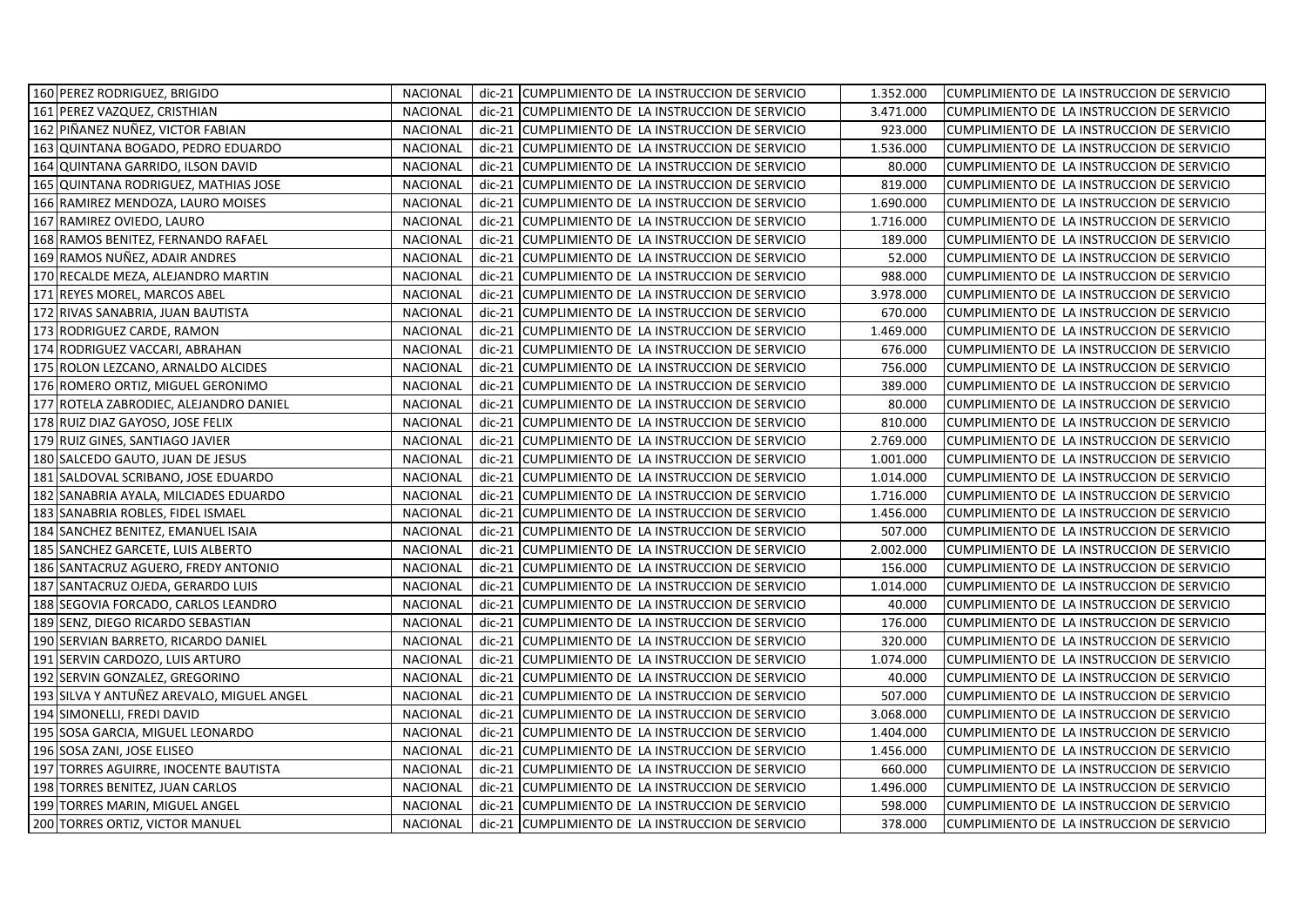| 160 PEREZ RODRIGUEZ, BRIGIDO              | <b>NACIONAL</b>             |          | dic-21 CUMPLIMIENTO DE LA INSTRUCCION DE SERVICIO | 1.352.000 | CUMPLIMIENTO DE LA INSTRUCCION DE SERVICIO |
|-------------------------------------------|-----------------------------|----------|---------------------------------------------------|-----------|--------------------------------------------|
| 161 PEREZ VAZQUEZ, CRISTHIAN              | <b>NACIONAL</b>             |          | dic-21 CUMPLIMIENTO DE LA INSTRUCCION DE SERVICIO | 3.471.000 | CUMPLIMIENTO DE LA INSTRUCCION DE SERVICIO |
| 162 PIÑANEZ NUÑEZ, VICTOR FABIAN          | <b>NACIONAL</b>             |          | dic-21 CUMPLIMIENTO DE LA INSTRUCCION DE SERVICIO | 923.000   | CUMPLIMIENTO DE LA INSTRUCCION DE SERVICIO |
| 163 QUINTANA BOGADO, PEDRO EDUARDO        | <b>NACIONAL</b><br>dic-21   |          | CUMPLIMIENTO DE LA INSTRUCCION DE SERVICIO        | 1.536.000 | CUMPLIMIENTO DE LA INSTRUCCION DE SERVICIO |
| 164 QUINTANA GARRIDO, ILSON DAVID         | <b>NACIONAL</b><br>$dic-21$ |          | CUMPLIMIENTO DE LA INSTRUCCION DE SERVICIO        | 80.000    | CUMPLIMIENTO DE LA INSTRUCCION DE SERVICIO |
| 165 QUINTANA RODRIGUEZ, MATHIAS JOSE      | <b>NACIONAL</b>             | $dic-21$ | CUMPLIMIENTO DE LA INSTRUCCION DE SERVICIO        | 819.000   | CUMPLIMIENTO DE LA INSTRUCCION DE SERVICIO |
| 166 RAMIREZ MENDOZA, LAURO MOISES         | <b>NACIONAL</b>             |          | dic-21 CUMPLIMIENTO DE LA INSTRUCCION DE SERVICIO | 1.690.000 | CUMPLIMIENTO DE LA INSTRUCCION DE SERVICIO |
| 167 RAMIREZ OVIEDO, LAURO                 | <b>NACIONAL</b><br>dic-21   |          | CUMPLIMIENTO DE LA INSTRUCCION DE SERVICIO        | 1.716.000 | CUMPLIMIENTO DE LA INSTRUCCION DE SERVICIO |
| 168 RAMOS BENITEZ, FERNANDO RAFAEL        | <b>NACIONAL</b><br>$dic-21$ |          | CUMPLIMIENTO DE LA INSTRUCCION DE SERVICIO        | 189.000   | CUMPLIMIENTO DE LA INSTRUCCION DE SERVICIO |
| 169 RAMOS NUÑEZ, ADAIR ANDRES             | <b>NACIONAL</b><br>dic-21   |          | CUMPLIMIENTO DE LA INSTRUCCION DE SERVICIO        | 52.000    | CUMPLIMIENTO DE LA INSTRUCCION DE SERVICIO |
| 170 RECALDE MEZA, ALEJANDRO MARTIN        | <b>NACIONAL</b>             |          | dic-21 CUMPLIMIENTO DE LA INSTRUCCION DE SERVICIO | 988.000   | CUMPLIMIENTO DE LA INSTRUCCION DE SERVICIO |
| 171 REYES MOREL, MARCOS ABEL              | <b>NACIONAL</b>             |          | dic-21 CUMPLIMIENTO DE LA INSTRUCCION DE SERVICIO | 3.978.000 | CUMPLIMIENTO DE LA INSTRUCCION DE SERVICIO |
| 172 RIVAS SANABRIA, JUAN BAUTISTA         | NACIONAL                    |          | dic-21 CUMPLIMIENTO DE LA INSTRUCCION DE SERVICIO | 670.000   | CUMPLIMIENTO DE LA INSTRUCCION DE SERVICIO |
| 173 RODRIGUEZ CARDE, RAMON                | <b>NACIONAL</b>             |          | dic-21 CUMPLIMIENTO DE LA INSTRUCCION DE SERVICIO | 1.469.000 | CUMPLIMIENTO DE LA INSTRUCCION DE SERVICIO |
| 174 RODRIGUEZ VACCARI, ABRAHAN            | <b>NACIONAL</b><br>$dic-21$ |          | CUMPLIMIENTO DE LA INSTRUCCION DE SERVICIO        | 676.000   | CUMPLIMIENTO DE LA INSTRUCCION DE SERVICIO |
| 175 ROLON LEZCANO, ARNALDO ALCIDES        | <b>NACIONAL</b>             | $dic-21$ | CUMPLIMIENTO DE LA INSTRUCCION DE SERVICIO        | 756.000   | CUMPLIMIENTO DE LA INSTRUCCION DE SERVICIO |
| 176 ROMERO ORTIZ, MIGUEL GERONIMO         | <b>NACIONAL</b>             |          | dic-21 CUMPLIMIENTO DE LA INSTRUCCION DE SERVICIO | 389.000   | CUMPLIMIENTO DE LA INSTRUCCION DE SERVICIO |
| 177 ROTELA ZABRODIEC, ALEJANDRO DANIEL    | <b>NACIONAL</b>             | $dic-21$ | CUMPLIMIENTO DE LA INSTRUCCION DE SERVICIO        | 80.000    | CUMPLIMIENTO DE LA INSTRUCCION DE SERVICIO |
| 178 RUIZ DIAZ GAYOSO, JOSE FELIX          | <b>NACIONAL</b><br>$dic-21$ |          | CUMPLIMIENTO DE LA INSTRUCCION DE SERVICIO        | 810.000   | CUMPLIMIENTO DE LA INSTRUCCION DE SERVICIO |
| 179 RUIZ GINES, SANTIAGO JAVIER           | <b>NACIONAL</b><br>dic-21   |          | CUMPLIMIENTO DE LA INSTRUCCION DE SERVICIO        | 2.769.000 | CUMPLIMIENTO DE LA INSTRUCCION DE SERVICIO |
| 180 SALCEDO GAUTO, JUAN DE JESUS          | <b>NACIONAL</b><br>$dic-21$ |          | CUMPLIMIENTO DE LA INSTRUCCION DE SERVICIO        | 1.001.000 | CUMPLIMIENTO DE LA INSTRUCCION DE SERVICIO |
| 181 SALDOVAL SCRIBANO, JOSE EDUARDO       | <b>NACIONAL</b>             | $dic-21$ | CUMPLIMIENTO DE LA INSTRUCCION DE SERVICIO        | 1.014.000 | CUMPLIMIENTO DE LA INSTRUCCION DE SERVICIO |
| 182 SANABRIA AYALA, MILCIADES EDUARDO     | <b>NACIONAL</b>             |          | dic-21 CUMPLIMIENTO DE LA INSTRUCCION DE SERVICIO | 1.716.000 | CUMPLIMIENTO DE LA INSTRUCCION DE SERVICIO |
| 183 SANABRIA ROBLES, FIDEL ISMAEL         | <b>NACIONAL</b>             |          | dic-21 CUMPLIMIENTO DE LA INSTRUCCION DE SERVICIO | 1.456.000 | CUMPLIMIENTO DE LA INSTRUCCION DE SERVICIO |
| 184 SANCHEZ BENITEZ, EMANUEL ISAIA        | <b>NACIONAL</b>             |          | dic-21 CUMPLIMIENTO DE LA INSTRUCCION DE SERVICIO | 507.000   | CUMPLIMIENTO DE LA INSTRUCCION DE SERVICIO |
| 185 SANCHEZ GARCETE, LUIS ALBERTO         | <b>NACIONAL</b><br>dic-21   |          | CUMPLIMIENTO DE LA INSTRUCCION DE SERVICIO        | 2.002.000 | CUMPLIMIENTO DE LA INSTRUCCION DE SERVICIO |
| 186 SANTACRUZ AGUERO, FREDY ANTONIO       | <b>NACIONAL</b><br>dic-21   |          | CUMPLIMIENTO DE LA INSTRUCCION DE SERVICIO        | 156.000   | CUMPLIMIENTO DE LA INSTRUCCION DE SERVICIO |
| 187 SANTACRUZ OJEDA, GERARDO LUIS         | <b>NACIONAL</b>             |          | dic-21 CUMPLIMIENTO DE LA INSTRUCCION DE SERVICIO | 1.014.000 | CUMPLIMIENTO DE LA INSTRUCCION DE SERVICIO |
| 188 SEGOVIA FORCADO, CARLOS LEANDRO       | <b>NACIONAL</b>             | dic-21   | CUMPLIMIENTO DE LA INSTRUCCION DE SERVICIO        | 40.000    | CUMPLIMIENTO DE LA INSTRUCCION DE SERVICIO |
| 189 SENZ, DIEGO RICARDO SEBASTIAN         | <b>NACIONAL</b>             |          | dic-21 CUMPLIMIENTO DE LA INSTRUCCION DE SERVICIO | 176.000   | CUMPLIMIENTO DE LA INSTRUCCION DE SERVICIO |
| 190 SERVIAN BARRETO, RICARDO DANIEL       | <b>NACIONAL</b><br>$dic-21$ |          | CUMPLIMIENTO DE LA INSTRUCCION DE SERVICIO        | 320.000   | CUMPLIMIENTO DE LA INSTRUCCION DE SERVICIO |
| 191 SERVIN CARDOZO, LUIS ARTURO           | <b>NACIONAL</b><br>dic-21   |          | CUMPLIMIENTO DE LA INSTRUCCION DE SERVICIO        | 1.074.000 | CUMPLIMIENTO DE LA INSTRUCCION DE SERVICIO |
| 192 SERVIN GONZALEZ, GREGORINO            | <b>NACIONAL</b>             | $dic-21$ | CUMPLIMIENTO DE LA INSTRUCCION DE SERVICIO        | 40.000    | CUMPLIMIENTO DE LA INSTRUCCION DE SERVICIO |
| 193 SILVA Y ANTUÑEZ AREVALO, MIGUEL ANGEL | NACIONAL                    |          | dic-21 CUMPLIMIENTO DE LA INSTRUCCION DE SERVICIO | 507.000   | CUMPLIMIENTO DE LA INSTRUCCION DE SERVICIO |
| 194 SIMONELLI, FREDI DAVID                | <b>NACIONAL</b>             |          | dic-21 CUMPLIMIENTO DE LA INSTRUCCION DE SERVICIO | 3.068.000 | CUMPLIMIENTO DE LA INSTRUCCION DE SERVICIO |
| 195 SOSA GARCIA, MIGUEL LEONARDO          | <b>NACIONAL</b>             |          | dic-21 CUMPLIMIENTO DE LA INSTRUCCION DE SERVICIO | 1.404.000 | CUMPLIMIENTO DE LA INSTRUCCION DE SERVICIO |
| 196 SOSA ZANI, JOSE ELISEO                | <b>NACIONAL</b><br>dic-21   |          | CUMPLIMIENTO DE LA INSTRUCCION DE SERVICIO        | 1.456.000 | CUMPLIMIENTO DE LA INSTRUCCION DE SERVICIO |
| 197 TORRES AGUIRRE, INOCENTE BAUTISTA     | <b>NACIONAL</b><br>dic-21   |          | CUMPLIMIENTO DE LA INSTRUCCION DE SERVICIO        | 660.000   | CUMPLIMIENTO DE LA INSTRUCCION DE SERVICIO |
| 198 TORRES BENITEZ, JUAN CARLOS           | <b>NACIONAL</b><br>dic-21   |          | CUMPLIMIENTO DE LA INSTRUCCION DE SERVICIO        | 1.496.000 | CUMPLIMIENTO DE LA INSTRUCCION DE SERVICIO |
| 199 TORRES MARIN, MIGUEL ANGEL            | <b>NACIONAL</b>             |          | dic-21 CUMPLIMIENTO DE LA INSTRUCCION DE SERVICIO | 598.000   | CUMPLIMIENTO DE LA INSTRUCCION DE SERVICIO |
| 200 TORRES ORTIZ, VICTOR MANUEL           | <b>NACIONAL</b>             |          | dic-21 CUMPLIMIENTO DE LA INSTRUCCION DE SERVICIO | 378.000   | CUMPLIMIENTO DE LA INSTRUCCION DE SERVICIO |